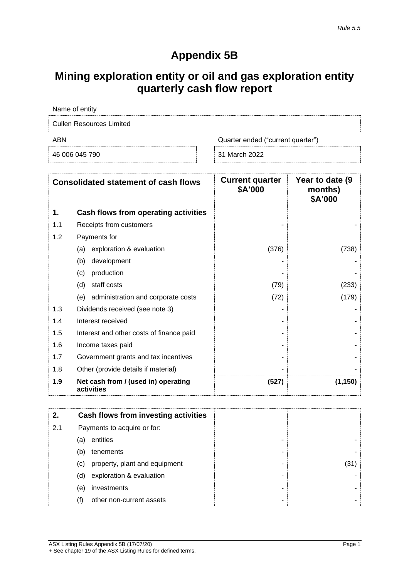## **Appendix 5B**

## **Mining exploration entity or oil and gas exploration entity quarterly cash flow report**

| Name of entity                  |                                   |  |
|---------------------------------|-----------------------------------|--|
| <b>Cullen Resources Limited</b> |                                   |  |
| ABN                             | Quarter ended ("current quarter") |  |
| 46 006 045 790                  | 31 March 2022                     |  |

|     | <b>Consolidated statement of cash flows</b>       | <b>Current quarter</b><br>\$A'000 | Year to date (9<br>months)<br>\$A'000 |
|-----|---------------------------------------------------|-----------------------------------|---------------------------------------|
| 1.  | Cash flows from operating activities              |                                   |                                       |
| 1.1 | Receipts from customers                           |                                   |                                       |
| 1.2 | Payments for                                      |                                   |                                       |
|     | exploration & evaluation<br>(a)                   | (376)                             | (738)                                 |
|     | development<br>(b)                                |                                   |                                       |
|     | production<br>(c)                                 |                                   |                                       |
|     | staff costs<br>(d)                                | (79)                              | (233)                                 |
|     | administration and corporate costs<br>(e)         | (72)                              | (179)                                 |
| 1.3 | Dividends received (see note 3)                   |                                   |                                       |
| 1.4 | Interest received                                 |                                   |                                       |
| 1.5 | Interest and other costs of finance paid          |                                   |                                       |
| 1.6 | Income taxes paid                                 |                                   |                                       |
| 1.7 | Government grants and tax incentives              |                                   |                                       |
| 1.8 | Other (provide details if material)               |                                   |                                       |
| 1.9 | Net cash from / (used in) operating<br>activities | (527)                             | (1, 150)                              |

| 2.  |     | Cash flows from investing activities |     |
|-----|-----|--------------------------------------|-----|
| 2.1 |     | Payments to acquire or for:          |     |
|     | (a) | entities<br>-                        |     |
|     | (b) | tenements<br>۰                       |     |
|     | (c) | property, plant and equipment<br>-   | (31 |
|     | (d) | exploration & evaluation<br>-        |     |
|     | (e) | investments<br>-                     |     |
|     | (f) | other non-current assets<br>-        |     |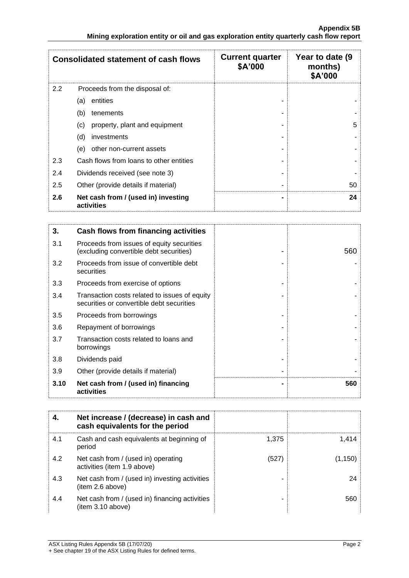|     | <b>Consolidated statement of cash flows</b>       | <b>Current quarter</b><br>\$A'000 | Year to date (9)<br>months)<br>\$A'000 |
|-----|---------------------------------------------------|-----------------------------------|----------------------------------------|
| 2.2 | Proceeds from the disposal of:                    |                                   |                                        |
|     | entities<br>(a)                                   |                                   |                                        |
|     | (b)<br>tenements                                  |                                   |                                        |
|     | (c)<br>property, plant and equipment              |                                   | 5                                      |
|     | (d)<br>investments                                |                                   |                                        |
|     | (e)<br>other non-current assets                   |                                   |                                        |
| 2.3 | Cash flows from loans to other entities           |                                   |                                        |
| 2.4 | Dividends received (see note 3)                   |                                   |                                        |
| 2.5 | Other (provide details if material)               |                                   | 50                                     |
| 2.6 | Net cash from / (used in) investing<br>activities | -                                 | 24                                     |

| 3.   | Cash flows from financing activities                                                       |     |
|------|--------------------------------------------------------------------------------------------|-----|
| 3.1  | Proceeds from issues of equity securities<br>(excluding convertible debt securities)       | 560 |
| 3.2  | Proceeds from issue of convertible debt<br>securities                                      |     |
| 3.3  | Proceeds from exercise of options                                                          |     |
| 3.4  | Transaction costs related to issues of equity<br>securities or convertible debt securities |     |
| 3.5  | Proceeds from borrowings                                                                   |     |
| 3.6  | Repayment of borrowings                                                                    |     |
| 3.7  | Transaction costs related to loans and<br>borrowings                                       |     |
| 3.8  | Dividends paid                                                                             |     |
| 3.9  | Other (provide details if material)                                                        |     |
| 3.10 | Net cash from / (used in) financing<br>activities                                          | 560 |

| 4.  | Net increase / (decrease) in cash and<br>cash equivalents for the period |       |         |
|-----|--------------------------------------------------------------------------|-------|---------|
| 4.1 | Cash and cash equivalents at beginning of<br>period                      | 1.375 | 1.414   |
| 4.2 | Net cash from / (used in) operating<br>activities (item 1.9 above)       | (527) | (1,150) |
| 4.3 | Net cash from / (used in) investing activities<br>(item 2.6 above)       |       | 24      |
| 4.4 | Net cash from / (used in) financing activities<br>item 3.10 above)       |       | 560     |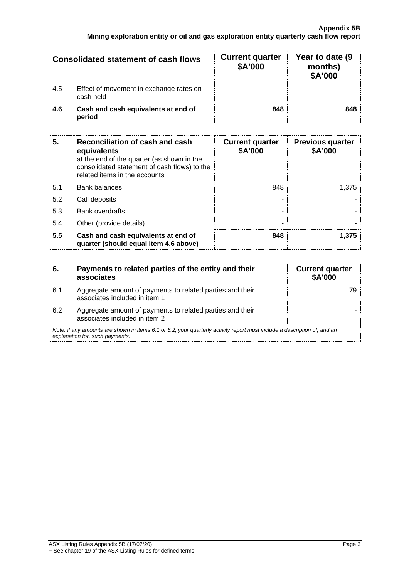|     | Consolidated statement of cash flows                 | <b>Current quarter</b><br>\$A'000 | Year to date (9<br>months)<br>\$A'000 |
|-----|------------------------------------------------------|-----------------------------------|---------------------------------------|
| 4.5 | Effect of movement in exchange rates on<br>cash held |                                   |                                       |
| 4.6 | Cash and cash equivalents at end of<br>period        | 848                               | 848                                   |

| 5.  | Reconciliation of cash and cash<br>equivalents<br>at the end of the quarter (as shown in the<br>consolidated statement of cash flows) to the<br>related items in the accounts | <b>Current quarter</b><br>\$A'000 | <b>Previous quarter</b><br>\$A'000 |
|-----|-------------------------------------------------------------------------------------------------------------------------------------------------------------------------------|-----------------------------------|------------------------------------|
| 5.1 | <b>Bank balances</b>                                                                                                                                                          | 848                               | 1.375                              |
| 5.2 | Call deposits                                                                                                                                                                 |                                   |                                    |
| 5.3 | <b>Bank overdrafts</b>                                                                                                                                                        |                                   |                                    |
| 5.4 | Other (provide details)                                                                                                                                                       | -                                 |                                    |
| 5.5 | Cash and cash equivalents at end of<br>quarter (should equal item 4.6 above)                                                                                                  | 848                               | 1.375                              |

| 6.                                                                                                                                                          | Payments to related parties of the entity and their<br>associates                          | <b>Current quarter</b><br><b>\$A'000</b> |
|-------------------------------------------------------------------------------------------------------------------------------------------------------------|--------------------------------------------------------------------------------------------|------------------------------------------|
| 6.1                                                                                                                                                         | Aggregate amount of payments to related parties and their<br>associates included in item 1 |                                          |
| 6.2                                                                                                                                                         | Aggregate amount of payments to related parties and their<br>associates included in item 2 |                                          |
| Note: if any amounts are shown in items 6.1 or 6.2, your quarterly activity report must include a description of, and an<br>explanation for, such payments. |                                                                                            |                                          |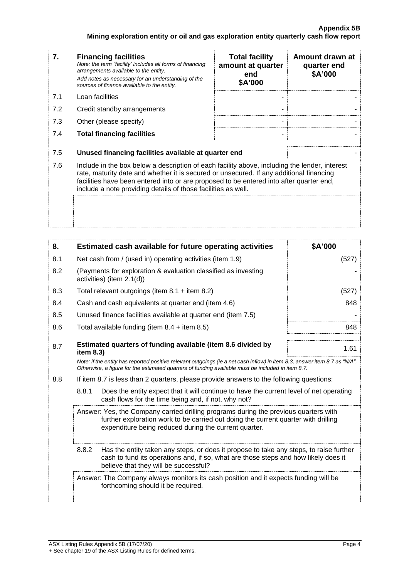| 7.  | <b>Financing facilities</b><br>Note: the term "facility' includes all forms of financing<br>arrangements available to the entity.<br>Add notes as necessary for an understanding of the<br>sources of finance available to the entity.                                                                                                               | <b>Total facility</b><br>amount at quarter<br>end<br>\$A'000 | Amount drawn at<br>quarter end<br>\$A'000 |
|-----|------------------------------------------------------------------------------------------------------------------------------------------------------------------------------------------------------------------------------------------------------------------------------------------------------------------------------------------------------|--------------------------------------------------------------|-------------------------------------------|
| 7.1 | Loan facilities                                                                                                                                                                                                                                                                                                                                      |                                                              |                                           |
| 7.2 | Credit standby arrangements                                                                                                                                                                                                                                                                                                                          |                                                              |                                           |
| 7.3 | Other (please specify)                                                                                                                                                                                                                                                                                                                               |                                                              |                                           |
| 7.4 | <b>Total financing facilities</b>                                                                                                                                                                                                                                                                                                                    |                                                              |                                           |
| 7.5 | Unused financing facilities available at quarter end                                                                                                                                                                                                                                                                                                 |                                                              |                                           |
| 7.6 | Include in the box below a description of each facility above, including the lender, interest<br>rate, maturity date and whether it is secured or unsecured. If any additional financing<br>facilities have been entered into or are proposed to be entered into after quarter end,<br>include a note providing details of those facilities as well. |                                                              |                                           |
|     |                                                                                                                                                                                                                                                                                                                                                      |                                                              |                                           |

| 8.                                                                                                                                                                                                                                  | Estimated cash available for future operating activities                                                                                                                                                                        | \$A'000 |
|-------------------------------------------------------------------------------------------------------------------------------------------------------------------------------------------------------------------------------------|---------------------------------------------------------------------------------------------------------------------------------------------------------------------------------------------------------------------------------|---------|
| 8.1                                                                                                                                                                                                                                 | Net cash from / (used in) operating activities (item 1.9)                                                                                                                                                                       | (527)   |
| 8.2                                                                                                                                                                                                                                 | (Payments for exploration & evaluation classified as investing<br>activities) (item 2.1(d))                                                                                                                                     |         |
| 8.3                                                                                                                                                                                                                                 | Total relevant outgoings (item $8.1$ + item $8.2$ )                                                                                                                                                                             | (527)   |
| 8.4                                                                                                                                                                                                                                 | Cash and cash equivalents at quarter end (item 4.6)                                                                                                                                                                             | 848     |
| 8.5                                                                                                                                                                                                                                 | Unused finance facilities available at quarter end (item 7.5)                                                                                                                                                                   |         |
| 8.6                                                                                                                                                                                                                                 | Total available funding (item $8.4 +$ item $8.5$ )                                                                                                                                                                              | 848     |
| 8.7                                                                                                                                                                                                                                 | Estimated quarters of funding available (item 8.6 divided by<br>item $8.3$ )                                                                                                                                                    | 1.61    |
| Note: if the entity has reported positive relevant outgoings (ie a net cash inflow) in item 8.3, answer item 8.7 as "N/A".<br>Otherwise, a figure for the estimated quarters of funding available must be included in item 8.7.     |                                                                                                                                                                                                                                 |         |
| 8.8                                                                                                                                                                                                                                 | If item 8.7 is less than 2 quarters, please provide answers to the following questions:                                                                                                                                         |         |
| 8.8.1<br>Does the entity expect that it will continue to have the current level of net operating<br>cash flows for the time being and, if not, why not?                                                                             |                                                                                                                                                                                                                                 |         |
| Answer: Yes, the Company carried drilling programs during the previous quarters with<br>further exploration work to be carried out doing the current quarter with drilling<br>expenditure being reduced during the current quarter. |                                                                                                                                                                                                                                 |         |
|                                                                                                                                                                                                                                     | 8.8.2<br>Has the entity taken any steps, or does it propose to take any steps, to raise further<br>cash to fund its operations and, if so, what are those steps and how likely does it<br>believe that they will be successful? |         |
|                                                                                                                                                                                                                                     | Answer: The Company always monitors its cash position and it expects funding will be<br>forthcoming should it be required.                                                                                                      |         |
|                                                                                                                                                                                                                                     |                                                                                                                                                                                                                                 |         |